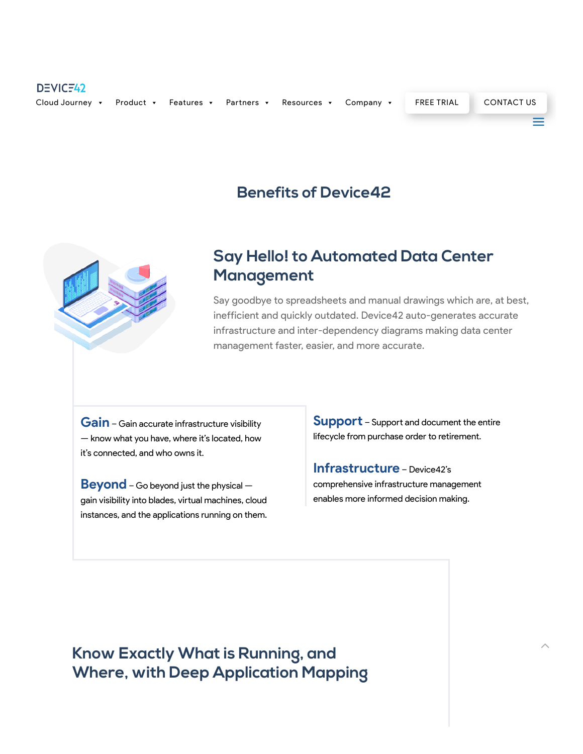### DEVICF42 [Product](https://www.device42.com/benefits/) • [Features](https://www.device42.com/features/) • [Partners](https://www.device42.com/partner-benefits/) • [Resources](https://support.device42.com/hc/en-us) • [Company](https://www.device42.com/about/) • FREE [TRIAL](https://www.device42.com/download/) [CONTACT](https://www.device42.com/contact/) US Cloud [Journey](https://www.device42.com/journey-to-the-cloud/) v a

## **Benefits of Device42**



# **Say Hello! to Automated Data Center Management**

Say goodbye to spreadsheets and manual drawings which are, at best, inefficient and quickly outdated. Device42 auto-generates accurate infrastructure and inter-dependency diagrams making data center management faster, easier, and more accurate.

**Gain** – Gain accurate infrastructure visibility — know what you have, where it's located, how it's connected, and who owns it.

**Beyond** – Go beyond just the physical – gain visibility into blades, virtual machines, cloud instances, and the applications running on them. **Support** – Support and document the entire lifecycle from purchase order to retirement.

**Infrastructure** – Device42's comprehensive infrastructure management enables more informed decision making.

**Know Exactly What is Running, and Where, with Deep Application Mapping**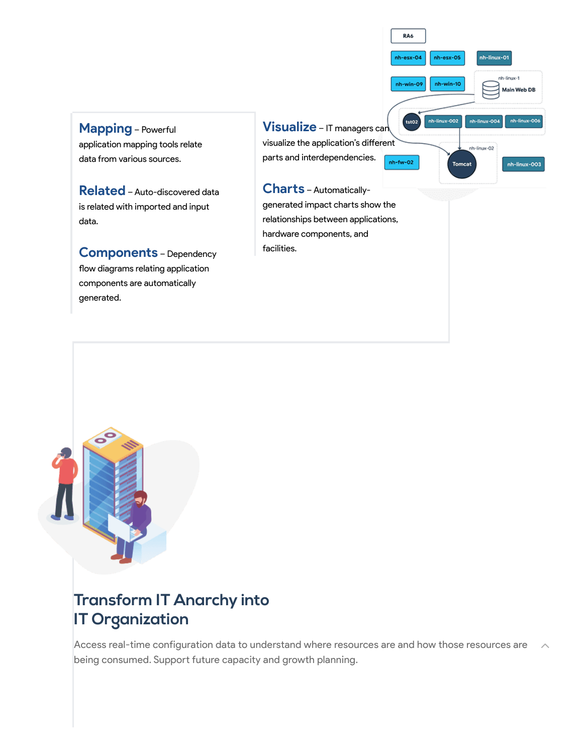**Mapping** - Powerful application mapping tools relate data from various sources.

**Related**– Auto-discovered data is related with imported and input data.

**Components** – Dependency flow diagrams relating application components are automatically generated.

tst02 **Visualize** – IT managers can visualize the application's different parts and interdependencies.  $nh$ -fw-02

RA6

nh-esx-04

nh-win-09

nh-esx-05

nh-win-10

nh-linux-002

nh-linux-01

nh-linux-004

nh-linux-02

Tomcat

nh-linux-1

Main Web DB

nh-linux-00

nh-linux-003

**Chas** – Automaticallygenerated impact charts show the relationships between applications, hardware components, and facilities.



# **Transform IT Anarchy into IT Organization**

Access real-time configuration data to understand where resources are and how those resources are  $\lambda$ <br>being consumed. Support future capacity and growth planning.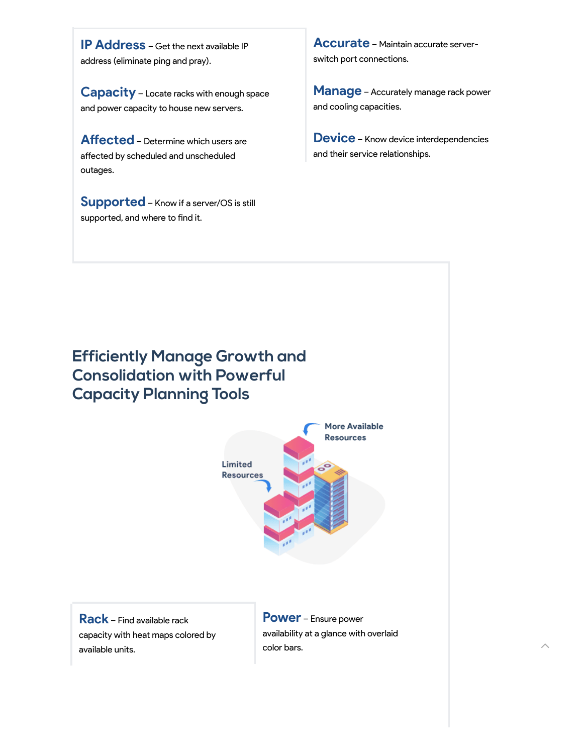**IP Address** – Get the next available IP address (eliminate ping and pray).

**Capacity** – Locate racks with enough space and power capacity to house new servers.

**Affected** – Determine which users are affected by scheduled and unscheduled outages.

**Supported** – Know if a server/OS is still supported, and where to find it.

**Accurate** – Maintain accurate serverswitch port connections.

**Manage** – Accurately manage rack power and cooling capacities.

**Device** – Know device interdependencies and their service relationships.

**Efficiently Manage Growth and Consolidation with Powerful Capacity Planning Tools**



**Rack** – Find available rack capacity with heat maps colored by available units.

**Power** – Ensure power availability at a glance with overlaid  $\sim$  2000 color bars.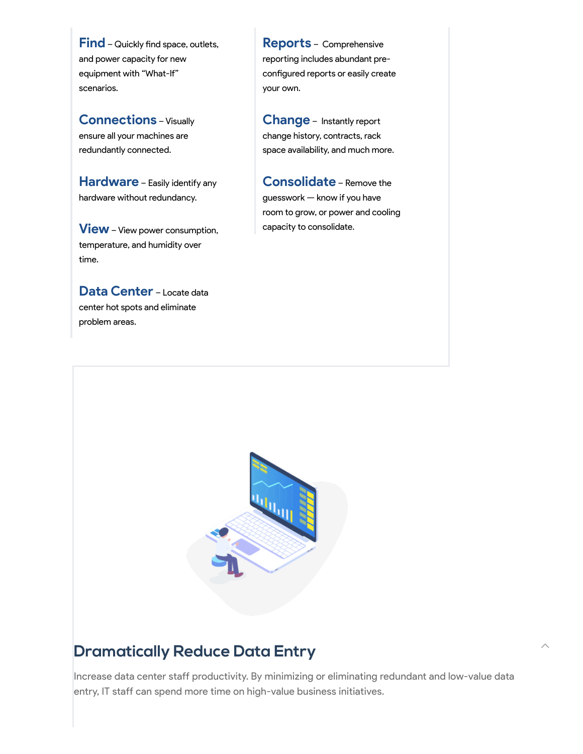Find - Quickly find space, outlets, and power capacity for new equipment with "What-If" scenarios.

**Connections** – Visually ensure all your machines are redundantly connected.

**Hardware** – Easily identify any hardware without redundancy.

**View** – View power consumption, temperature, and humidity over time.

**Data Center** – Locate data center hot spots and eliminate problem areas.

**Repos** – Comprehensive reporting includes abundant preconfigured reports or easily create your own.

**Change** – Instantly repo change history, contracts, rack space availability, and much more.

**Consolidate** – Remove the guesswork — know if you have room to grow, or power and cooling capacity to consolidate.



### **Dramatically Reduce Data Entry**

Increase data center staff productivity. By minimizing or eliminating redundant and low-value data entry, IT staff can spend more time on high-value business initiatives.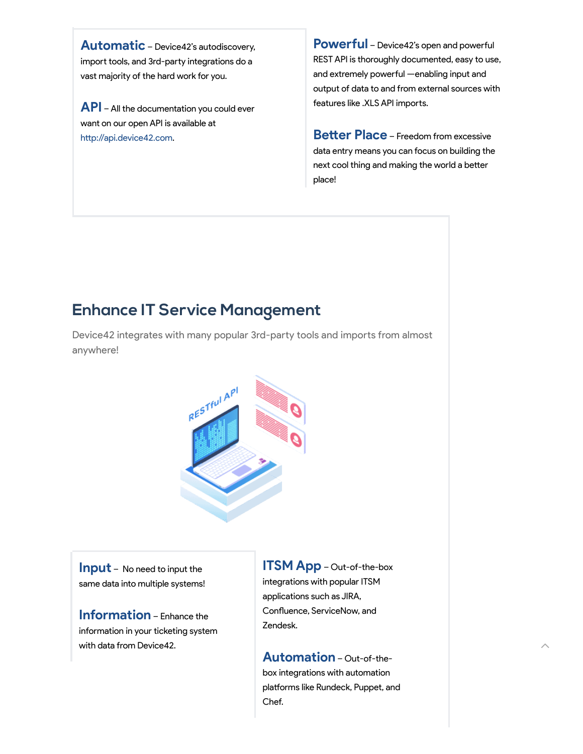**Automatic** – Device42's autodiscovery, import tools, and 3rd-party integrations do a vast majority of the hard work for you.

**API** – All the documentation you could ever want on our open API is available at http://api.device42.com.

**Powerful** – Device42's open and powerful REST API is thoroughly documented, easy to use, and extremely powerful —enabling input and output of data to and from external sources with features like .XLS API imports.

**Better Place** – Freedom from excessive data entry means you can focus on building the next cool thing and making the world a better place!

# **Enhance IT Service Management**

Device42 integrates with many popular 3rd-party tools and imports from almost anywhere!



**Input** – No need to input the same data into multiple systems!

**Information** – Enhance the information in your ticketing system with data from Device42.

**ITSM App** – Out-of-the-box integrations with popular ITSM applications such as JIRA, Confluence, ServiceNow, and Zendesk.

**Automation** – Out-of-thebox integrations with automation platforms like Rundeck, Puppet, and Chef.

 $\hat{\phantom{a}}$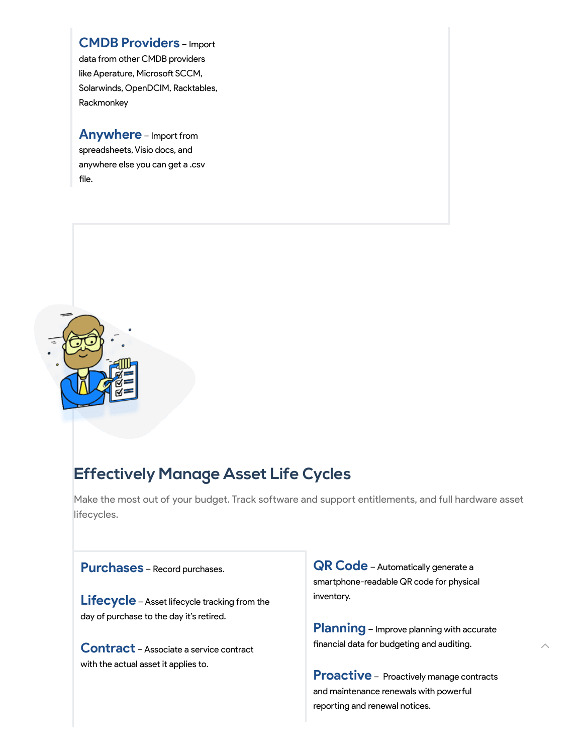### **CMDB Providers** – Impo

data from other CMDB providers like Aperature, Microsoft SCCM, Solarwinds, OpenDCIM, Racktables, Rackmonkey

**Anywhere** – Import from spreadsheets, Visio docs, and anywhere else you can get a .csv file.



# **Effectively Manage Asset Life Cycles**

Make the most out of your budget. Track software and support entitlements, and full hardware asset lifecycles.

### **Purchases** – Record purchases.

**Lifecycle** – Asset lifecycle tracking from the day of purchase to the day it's retired.

**Contract** – Associate <sup>a</sup> service contract with the actual asset it applies to.

**QR Code** – Automatically generate <sup>a</sup> smartphone-readable QR code for physical inventory.

**Planning** – Improve planning with accurate financial data for budgeting and auditing.

**Proactive** – Proactively manage contracts and maintenance renewals with powerful reporting and renewal notices.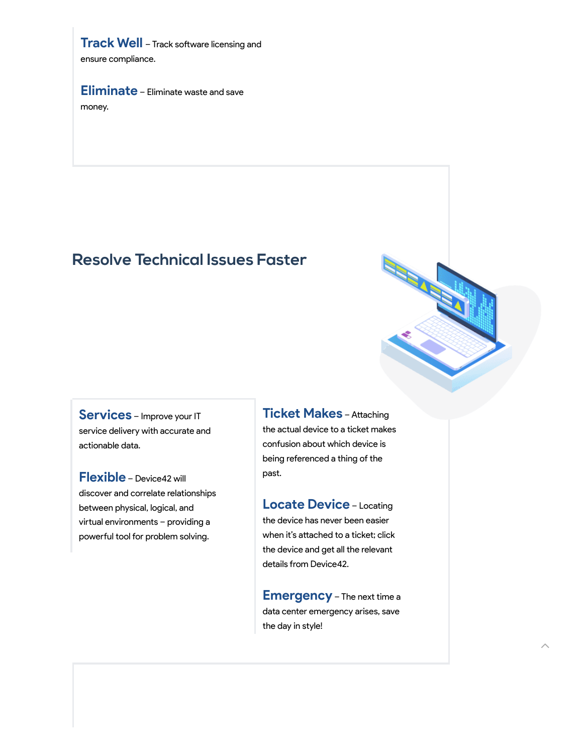**Track Well** – Track software licensing and ensure compliance.

**Eliminate** – Eliminate waste and save

money.

## **Resolve Technical Issues Faster**

**Services** – Improve your IT service delivery with accurate and actionable data.

**Flexible** – Device42 will discover and correlate relationships between physical, logical, and virtual environments - providing a powerful tool for problem solving.

**Ticket Makes** – Attaching the actual device to a ticket makes confusion about which device is being referenced a thing of the past.

**Locate Device** – Locating the device has never been easier when it's attached to a ticket; click the device and get all the relevant details from Device42.

**Emergency** – The next time <sup>a</sup> data center emergency arises, save the day in style!

 $\hat{\phantom{a}}$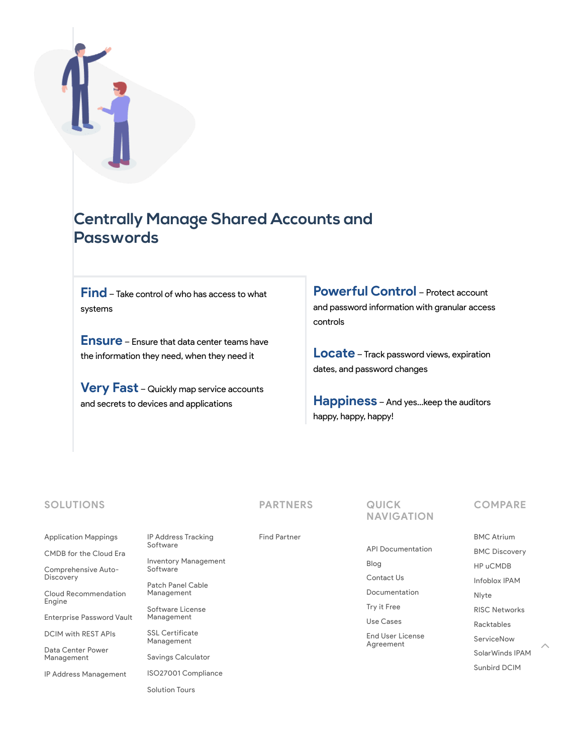## **Centrally Manage Shared Accounts and Passwords**

**Find**– Take control of who has access to what systems

**Ensure** – Ensure that data center teams have the information they need, when they need it

**Very Fast** – Quickly map service accounts and secrets to devices and applications

IP Address Tracking

Patch Panel Cable [Management](https://www.device42.com/patch-panel-cable-management-software/) Software License [Management](https://www.device42.com/features/software-license-management/) SSL Certificate [Management](https://www.device42.com/tours/ssl-certificate-management/) Savings [Calculator](https://www.device42.com/roi_calculator/) ISO27001 [Compliance](https://www.device42.com/tours/iso27001-compliance/)

Inventory [Management](https://www.device42.com/features/it-asset-management/)

[Software](https://www.device42.com/features/ip-address-management/)

Software

**Powerful Control** – Protect account and password information with granular access controls

**Locate** – Track password views, expiration dates, and password changes

**Happiness** – And yes…keep the auditors happy, happy, happy!

### **SOLUTIONS**

#### [Application](https://www.device42.com/features/application-mappings/) Mappings

[CMDB](https://www.device42.com/features/cmdb/) for the Cloud Era

[Comprehensive](https://www.device42.com/features/device-discovery/) Auto-**Discovery** 

Cloud [Recommendation](https://www.device42.com/features/cloud-recommendation-engine/) Engine

[Enterprise](https://www.device42.com/features/enterprise-password-management/) Password Vault

[DCIM](https://www.device42.com/features/data-center-management/) with REST APIs

Data Center Power [Management](https://www.device42.com/data-center-power-management/)

IP Address [Management](https://www.device42.com/features/ip-address-management/)

[Solution](https://www.device42.com/tours/) Tours

**PARTNERS**

Find [Partner](https://www.device42.com/find-partner/)

API [Documentation](https://api.device42.com/)

[Blog](https://www.device42.com/blog/)

**NAVIGATION**

[Contact](https://www.device42.com/contact/) Us

**QUICK**

[Documentation](https://docs.device42.com/)

Try it [Free](https://www.device42.com/download/) Use [Cases](https://www.device42.com/use-cases/)

End User License [Agreement](https://www.device42.com/eula/)

#### **COMPARE**

BMC [Atrium](https://www.device42.com/vs/bmc-atrium/) BMC [Discovery](https://www.device42.com/vs/bmc-discovery/) HP [uCMDB](https://www.device42.com/vs/hp-ucmdb/) [Infoblox](https://www.device42.com/vs/infoblox/) IPAM [Nlyte](https://www.device42.com/vs/nlyte/) RISC [Networks](https://www.device42.com/vs/risc-networks/) [Racktables](https://www.device42.com/vs/racktables/) [ServiceNow](https://www.device42.com/vs/servicenow/) [SolarWinds](https://www.device42.com/vs/solarwinds/) IPAM [Sunbird](https://www.device42.com/vs/sunbird/) DCIM

 $\hat{\phantom{a}}$